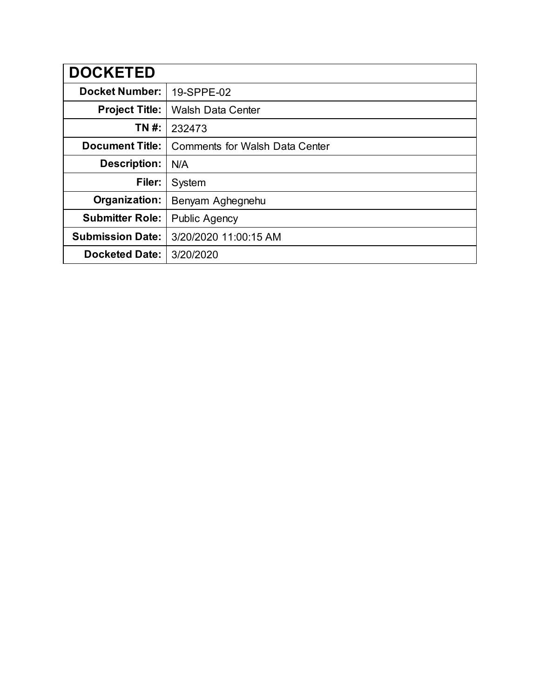| <b>DOCKETED</b>         |                                       |
|-------------------------|---------------------------------------|
| <b>Docket Number:</b>   | 19-SPPE-02                            |
| <b>Project Title:</b>   | <b>Walsh Data Center</b>              |
| TN #:                   | 232473                                |
| <b>Document Title:</b>  | <b>Comments for Walsh Data Center</b> |
| <b>Description:</b>     | N/A                                   |
| Filer:                  | System                                |
| Organization:           | Benyam Aghegnehu                      |
| <b>Submitter Role:</b>  | <b>Public Agency</b>                  |
| <b>Submission Date:</b> | 3/20/2020 11:00:15 AM                 |
| <b>Docketed Date:</b>   | 3/20/2020                             |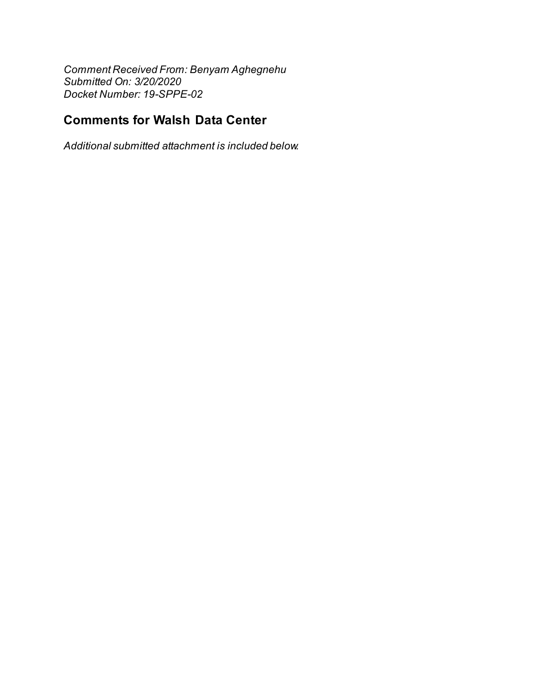*Comment Received From: Benyam Aghegnehu Submitted On: 3/20/2020 Docket Number: 19-SPPE-02*

## **Comments for Walsh Data Center**

*Additional submitted attachment is included below.*